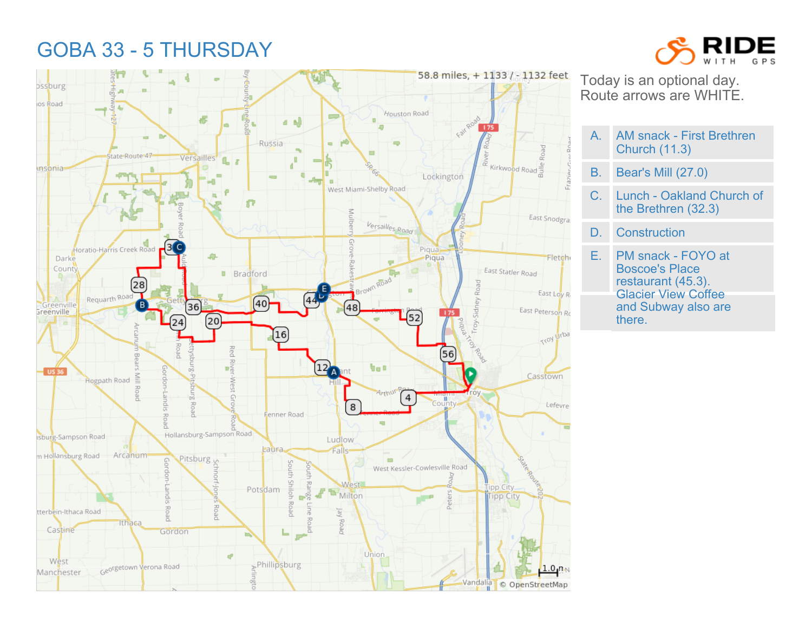## GOBA 33 - 5 THURSDAY





Today is an optional day. Route arrows are WHITE.

- A. AM snack First Brethren Church (11.3)
- B. Bear's Mill (27.0)
- C. Lunch Oakland Church of the Brethren (32.3)
- D. Construction
- E. PM snack FOYO at Boscoe's Place restaurant (45.3). Glacier View Coffee and Subway also are there.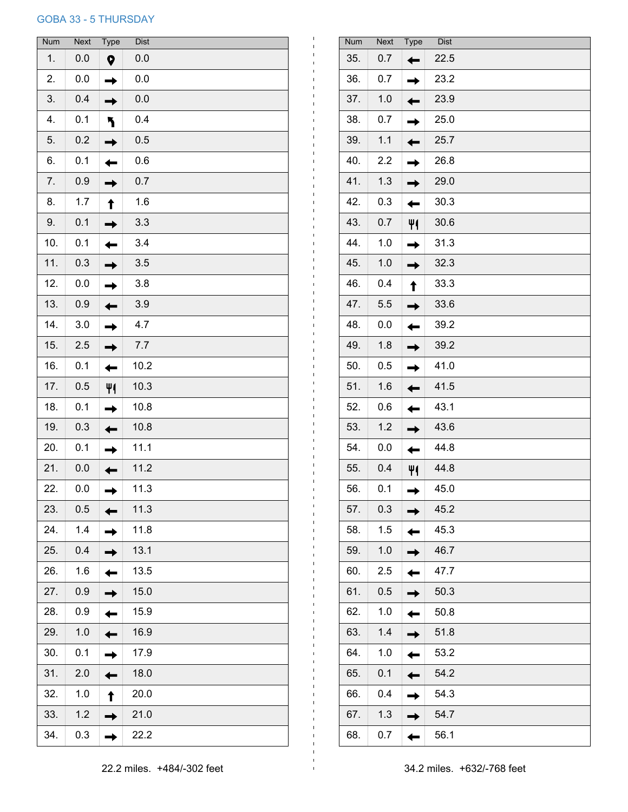## GOBA 33 - 5 THURSDAY

| <b>Num</b> | <b>Next</b> | Type | <b>Dist</b> |
|------------|-------------|------|-------------|
| 1.         | 0.0         | Q    | 0.0         |
| 2.         | 0.0         |      | 0.0         |
| 3.         | 0.4         |      | 0.0         |
| 4.         | 0.1         |      | 0.4         |
| 5.         | 0.2         |      | 0.5         |
| 6.         | 0.1         |      | 0.6         |
| 7.         | 0.9         |      | 0.7         |
| 8.         | 1.7         |      | 1.6         |
| 9.         | 0.1         |      | 3.3         |
| 10.        | 0.1         |      | 3.4         |
| 11.        | 0.3         |      | 3.5         |
| 12.        | 0.0         |      | 3.8         |
| 13.        | 0.9         |      | 3.9         |
| 14.        | 3.0         |      | 4.7         |
| 15.        | 2.5         |      | 7.7         |
| 16.        | 0.1         |      | 10.2        |
| 17.        | 0.5         |      | 10.3        |
| 18.        | 0.1         |      | 10.8        |
| 19.        | 0.3         |      | 10.8        |
| 20.        | 0.1         |      | 11.1        |
| 21.        | 0.0         |      | 11.2        |
| 22.        | 0.0         |      | 11.3        |
| 23.        | 0.5         |      | 11.3        |
| 24.        | 1.4         |      | 11.8        |
| 25.        | 0.4         |      | 13.1        |
| 26.        | 1.6         |      | 13.5        |
| 27.        | 0.9         |      | 15.0        |
| 28.        | 0.9         |      | 15.9        |
| 29.        | 1.0         |      | 16.9        |
| 30.        | 0.1         |      | 17.9        |
| 31.        | 2.0         |      | 18.0        |
| 32.        | 1.0         |      | 20.0        |
| 33.        | 1.2         |      | 21.0        |
| 34.        | 0.3         |      | 22.2        |

| <b>Num</b> | <b>Next</b> | <b>Type</b> | <b>Dist</b> |
|------------|-------------|-------------|-------------|
| 35.        | 0.7         |             | 22.5        |
| 36.        | 0.7         |             | 23.2        |
| 37.        | 1.0         |             | 23.9        |
| 38.        | 0.7         |             | 25.0        |
| 39.        | 1.1         |             | 25.7        |
| 40.        | 2.2         |             | 26.8        |
| 41.        | 1.3         |             | 29.0        |
| 42.        | 0.3         |             | 30.3        |
| 43.        | 0.7         |             | 30.6        |
| 44.        | 1.0         |             | 31.3        |
| 45.        | 1.0         |             | 32.3        |
| 46.        | 0.4         |             | 33.3        |
| 47.        | 5.5         |             | 33.6        |
| 48.        | 0.0         |             | 39.2        |
| 49.        | 1.8         |             | 39.2        |
| 50.        | 0.5         |             | 41.0        |
| 51.        | 1.6         |             | 41.5        |
| 52.        | 0.6         |             | 43.1        |
| 53.        | 1.2         |             | 43.6        |
| 54.        | 0.0         |             | 44.8        |
| 55.        | 0.4         |             | 44.8        |
| 56.        | 0.1         |             | 45.0        |
| 57.        | 0.3         |             | 45.2        |
| 58.        | 1.5         |             | 45.3        |
| 59.        | 1.0         |             | 46.7        |
| 60.        | 2.5         |             | 47.7        |
| 61.        | 0.5         |             | 50.3        |
| 62.        | 1.0         |             | 50.8        |
| 63.        | 1.4         |             | 51.8        |
| 64.        | 1.0         |             | 53.2        |
| 65.        | 0.1         |             | 54.2        |
| 66.        | 0.4         |             | 54.3        |
| 67.        | 1.3         |             | 54.7        |
| 68.        | 0.7         |             | 56.1        |
|            |             |             |             |

 $\mathbf{I}$